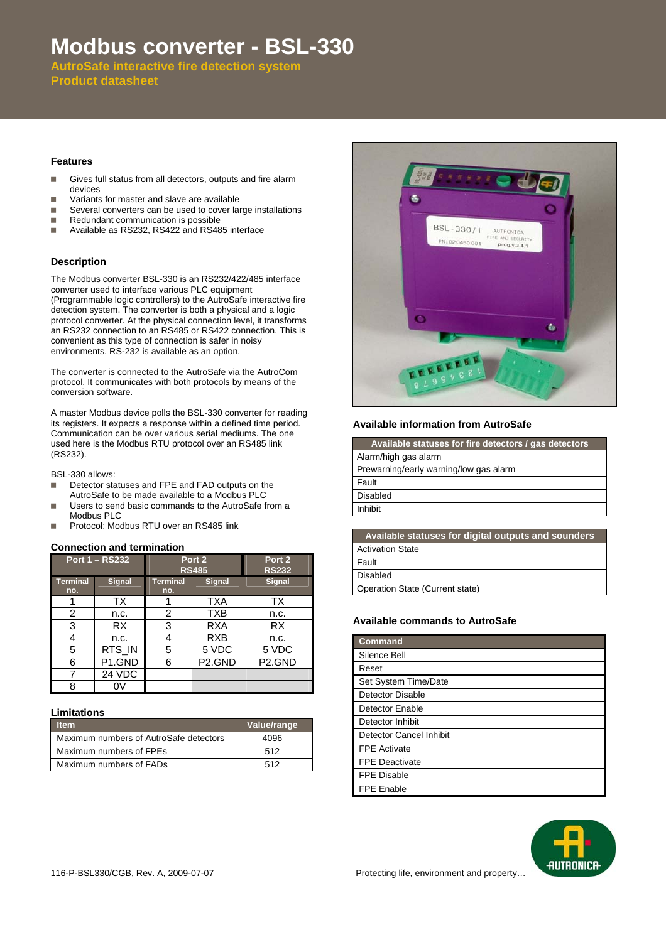# **Modbus converter - BSL-330**

**AutroSafe interactive fire detection system Product datasheet**

#### **Features**

- Gives full status from all detectors, outputs and fire alarm devices
- **Nariants for master and slave are available**
- Several converters can be used to cover large installations<br>Redundant communication is possible
- Redundant communication is possible
- Available as RS232, RS422 and RS485 interface

## **Description**

The Modbus converter BSL-330 is an RS232/422/485 interface converter used to interface various PLC equipment (Programmable logic controllers) to the AutroSafe interactive fire detection system. The converter is both a physical and a logic protocol converter. At the physical connection level, it transforms an RS232 connection to an RS485 or RS422 connection. This is convenient as this type of connection is safer in noisy environments. RS-232 is available as an option.

The converter is connected to the AutroSafe via the AutroCom protocol. It communicates with both protocols by means of the conversion software.

A master Modbus device polls the BSL-330 converter for reading its registers. It expects a response within a defined time period. Communication can be over various serial mediums. The one used here is the Modbus RTU protocol over an RS485 link (RS232).

BSL-330 allows:

- Detector statuses and FPE and FAD outputs on the AutroSafe to be made available to a Modbus PLC
- Users to send basic commands to the AutroSafe from a Modbus PLC
- **Protocol: Modbus RTU over an RS485 link**

## **Connection and termination**

| <b>Port 1 - RS232</b>  |                    | Port <sub>2</sub><br><b>RS485</b> |                     | Port 2<br><b>RS232</b> |
|------------------------|--------------------|-----------------------------------|---------------------|------------------------|
| <b>Terminal</b><br>no. | <b>Signal</b>      | <b>Terminal</b><br>no.            | <b>Signal</b>       | <b>Signal</b>          |
|                        | TX                 |                                   | <b>TXA</b>          | TX                     |
| 2                      | n.c.               | 2                                 | <b>TXB</b>          | n.c.                   |
| 3                      | <b>RX</b>          | 3                                 | RXA                 | <b>RX</b>              |
| 4                      | n.c.               | 4                                 | <b>RXB</b>          | n.c.                   |
| 5                      | RTS IN             | 5                                 | 5 VDC               | 5 VDC                  |
| 6                      | P <sub>1.GND</sub> | 6                                 | P <sub>2</sub> .GND | P <sub>2</sub> .GND    |
| 7                      | 24 VDC             |                                   |                     |                        |
| 8                      |                    |                                   |                     |                        |

#### **Limitations**

| ltem                                   | Value/range |
|----------------------------------------|-------------|
| Maximum numbers of AutroSafe detectors | 4096        |
| Maximum numbers of FPEs                | 512         |
| Maximum numbers of FADs                | 512         |



### **Available information from AutroSafe**

| Available statuses for digital outputs and sounders |
|-----------------------------------------------------|
| <b>Activation State</b>                             |
| Fault                                               |
| <b>Disabled</b>                                     |
| Operation State (Current state)                     |

#### **Available commands to AutroSafe**

| <b>Command</b>          |  |
|-------------------------|--|
| Silence Bell            |  |
| Reset                   |  |
| Set System Time/Date    |  |
| <b>Detector Disable</b> |  |
| <b>Detector Enable</b>  |  |
| Detector Inhibit        |  |
| Detector Cancel Inhibit |  |
| <b>FPE Activate</b>     |  |
| <b>FPE Deactivate</b>   |  |
| <b>FPE Disable</b>      |  |
| <b>FPE Enable</b>       |  |